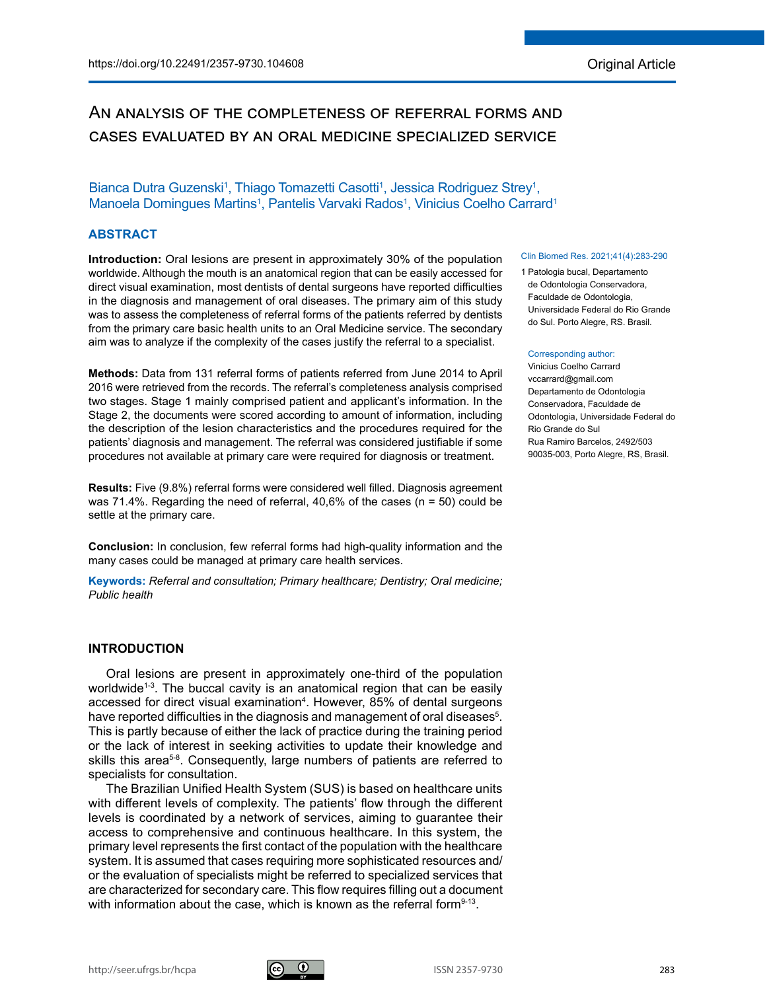# An analysis of the completeness of referral forms and cases evaluated by an oral medicine specialized service

# Bianca Dutra Guzenski<sup>1</sup>, Thiago Tomazetti Casotti<sup>1</sup>, Jessica Rodriguez Strey<sup>1</sup>, Manoela Domingues Martins<sup>1</sup>, Pantelis Varvaki Rados<sup>1</sup>, Vinicius Coelho Carrard<sup>1</sup>

# **ABSTRACT**

**Introduction:** Oral lesions are present in approximately 30% of the population worldwide. Although the mouth is an anatomical region that can be easily accessed for direct visual examination, most dentists of dental surgeons have reported difficulties in the diagnosis and management of oral diseases. The primary aim of this study was to assess the completeness of referral forms of the patients referred by dentists from the primary care basic health units to an Oral Medicine service. The secondary aim was to analyze if the complexity of the cases justify the referral to a specialist.

**Methods:** Data from 131 referral forms of patients referred from June 2014 to April 2016 were retrieved from the records. The referral's completeness analysis comprised two stages. Stage 1 mainly comprised patient and applicant's information. In the Stage 2, the documents were scored according to amount of information, including the description of the lesion characteristics and the procedures required for the patients' diagnosis and management. The referral was considered justifiable if some procedures not available at primary care were required for diagnosis or treatment.

**Results:** Five (9.8%) referral forms were considered well filled. Diagnosis agreement was 71.4%. Regarding the need of referral, 40,6% of the cases (n = 50) could be settle at the primary care.

**Conclusion:** In conclusion, few referral forms had high-quality information and the many cases could be managed at primary care health services.

**Keywords:** *Referral and consultation; Primary healthcare; Dentistry; Oral medicine; Public health*

## **INTRODUCTION**

Oral lesions are present in approximately one-third of the population worldwide<sup>1-3</sup>. The buccal cavity is an anatomical region that can be easily accessed for direct visual examination<sup>4</sup>. However, 85% of dental surgeons have reported difficulties in the diagnosis and management of oral diseases<sup>5</sup>. This is partly because of either the lack of practice during the training period or the lack of interest in seeking activities to update their knowledge and skills this area<sup>5-8</sup>. Consequently, large numbers of patients are referred to specialists for consultation.

The Brazilian Unified Health System (SUS) is based on healthcare units with different levels of complexity. The patients' flow through the different levels is coordinated by a network of services, aiming to guarantee their access to comprehensive and continuous healthcare. In this system, the primary level represents the first contact of the population with the healthcare system. It is assumed that cases requiring more sophisticated resources and/ or the evaluation of specialists might be referred to specialized services that are characterized for secondary care. This flow requires filling out a document with information about the case, which is known as the referral form<sup>9-13</sup>.

#### Clin Biomed Res. 2021;41(4):283-290

1 Patologia bucal, Departamento de Odontologia Conservadora, Faculdade de Odontologia, Universidade Federal do Rio Grande do Sul. Porto Alegre, RS. Brasil.

#### Corresponding author:

Vinicius Coelho Carrard vccarrard@gmail.com Departamento de Odontologia Conservadora, Faculdade de Odontologia, Universidade Federal do Rio Grande do Sul Rua Ramiro Barcelos, 2492/503 90035-003, Porto Alegre, RS, Brasil.

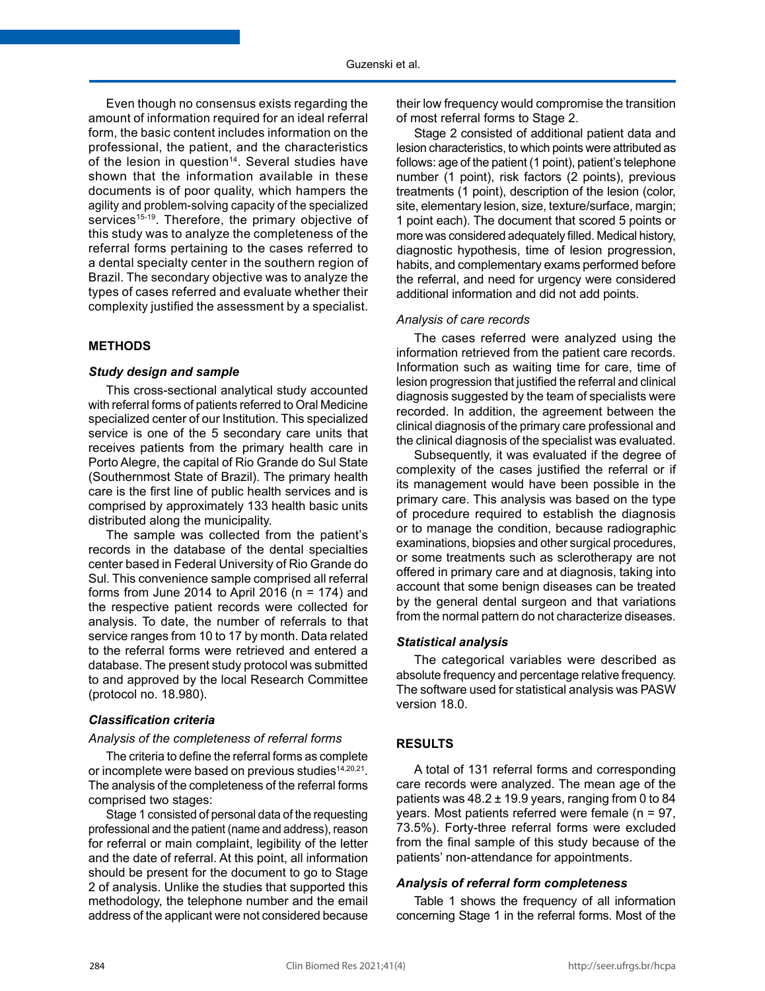Even though no consensus exists regarding the amount of information required for an ideal referral form, the basic content includes information on the professional, the patient, and the characteristics of the lesion in question $14$ . Several studies have shown that the information available in these documents is of poor quality, which hampers the agility and problem-solving capacity of the specialized services<sup>15-19</sup>. Therefore, the primary objective of this study was to analyze the completeness of the referral forms pertaining to the cases referred to a dental specialty center in the southern region of Brazil. The secondary objective was to analyze the types of cases referred and evaluate whether their complexity justified the assessment by a specialist.

## **METHODS**

#### *Study design and sample*

This cross-sectional analytical study accounted with referral forms of patients referred to Oral Medicine specialized center of our Institution. This specialized service is one of the 5 secondary care units that receives patients from the primary health care in Porto Alegre, the capital of Rio Grande do Sul State (Southernmost State of Brazil). The primary health care is the first line of public health services and is comprised by approximately 133 health basic units distributed along the municipality.

The sample was collected from the patient's records in the database of the dental specialties center based in Federal University of Rio Grande do Sul. This convenience sample comprised all referral forms from June 2014 to April 2016 ( $n = 174$ ) and the respective patient records were collected for analysis. To date, the number of referrals to that service ranges from 10 to 17 by month. Data related to the referral forms were retrieved and entered a database. The present study protocol was submitted to and approved by the local Research Committee (protocol no. 18.980).

### *Classification criteria*

#### *Analysis of the completeness of referral forms*

The criteria to define the referral forms as complete or incomplete were based on previous studies<sup>14,20,21</sup>. The analysis of the completeness of the referral forms comprised two stages:

Stage 1 consisted of personal data of the requesting professional and the patient (name and address), reason for referral or main complaint, legibility of the letter and the date of referral. At this point, all information should be present for the document to go to Stage 2 of analysis. Unlike the studies that supported this methodology, the telephone number and the email address of the applicant were not considered because

their low frequency would compromise the transition of most referral forms to Stage 2.

Stage 2 consisted of additional patient data and lesion characteristics, to which points were attributed as follows: age of the patient (1 point), patient's telephone number (1 point), risk factors (2 points), previous treatments (1 point), description of the lesion (color, site, elementary lesion, size, texture/surface, margin; 1 point each). The document that scored 5 points or more was considered adequately filled. Medical history, diagnostic hypothesis, time of lesion progression, habits, and complementary exams performed before the referral, and need for urgency were considered additional information and did not add points.

#### *Analysis of care records*

The cases referred were analyzed using the information retrieved from the patient care records. Information such as waiting time for care, time of lesion progression that justified the referral and clinical diagnosis suggested by the team of specialists were recorded. In addition, the agreement between the clinical diagnosis of the primary care professional and the clinical diagnosis of the specialist was evaluated.

Subsequently, it was evaluated if the degree of complexity of the cases justified the referral or if its management would have been possible in the primary care. This analysis was based on the type of procedure required to establish the diagnosis or to manage the condition, because radiographic examinations, biopsies and other surgical procedures, or some treatments such as sclerotherapy are not offered in primary care and at diagnosis, taking into account that some benign diseases can be treated by the general dental surgeon and that variations from the normal pattern do not characterize diseases.

#### *Statistical analysis*

The categorical variables were described as absolute frequency and percentage relative frequency. The software used for statistical analysis was PASW version 18.0.

## **RESULTS**

A total of 131 referral forms and corresponding care records were analyzed. The mean age of the patients was 48.2 ± 19.9 years, ranging from 0 to 84 years. Most patients referred were female (n = 97, 73.5%). Forty-three referral forms were excluded from the final sample of this study because of the patients' non-attendance for appointments.

### *Analysis of referral form completeness*

Table 1 shows the frequency of all information concerning Stage 1 in the referral forms. Most of the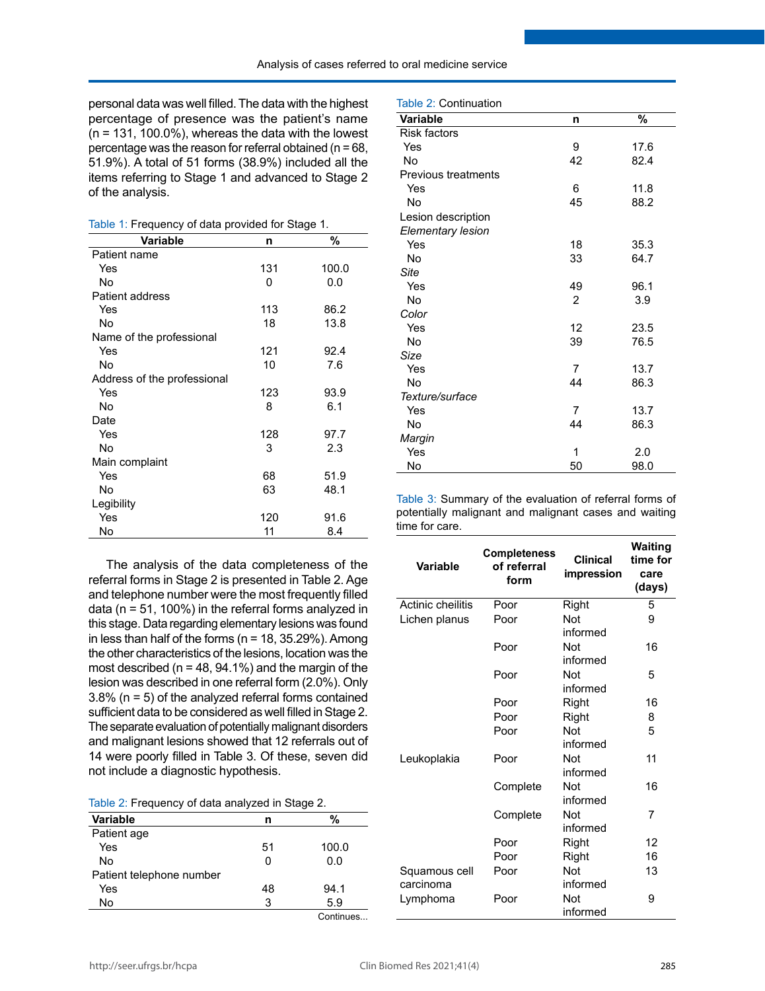personal data was well filled. The data with the highest percentage of presence was the patient's name  $(n = 131, 100.0\%)$ , whereas the data with the lowest percentage was the reason for referral obtained ( $n = 68$ , 51.9%). A total of 51 forms (38.9%) included all the items referring to Stage 1 and advanced to Stage 2 of the analysis.

Table 1: Frequency of data provided for Stage 1.

| <b>Variable</b>             | n   | %     |
|-----------------------------|-----|-------|
| Patient name                |     |       |
| Yes                         | 131 | 100.0 |
| No                          | 0   | 0.0   |
| Patient address             |     |       |
| Yes                         | 113 | 86.2  |
| No                          | 18  | 13.8  |
| Name of the professional    |     |       |
| Yes                         | 121 | 92.4  |
| No                          | 10  | 7.6   |
| Address of the professional |     |       |
| Yes                         | 123 | 93.9  |
| No                          | 8   | 6.1   |
| Date                        |     |       |
| Yes                         | 128 | 97.7  |
| No                          | 3   | 2.3   |
| Main complaint              |     |       |
| Yes                         | 68  | 51.9  |
| No                          | 63  | 48.1  |
| Legibility                  |     |       |
| Yes                         | 120 | 91.6  |
| No                          | 11  | 8.4   |

The analysis of the data completeness of the referral forms in Stage 2 is presented in Table 2. Age and telephone number were the most frequently filled data ( $n = 51$ , 100%) in the referral forms analyzed in this stage. Data regarding elementary lesions was found in less than half of the forms ( $n = 18$ , 35.29%). Among the other characteristics of the lesions, location was the most described ( $n = 48$ , 94.1%) and the margin of the lesion was described in one referral form (2.0%). Only 3.8% (n = 5) of the analyzed referral forms contained sufficient data to be considered as well filled in Stage 2. The separate evaluation of potentially malignant disorders and malignant lesions showed that 12 referrals out of 14 were poorly filled in Table 3. Of these, seven did not include a diagnostic hypothesis.

| Table 2: Frequency of data analyzed in Stage 2. |
|-------------------------------------------------|
|-------------------------------------------------|

| <b>Variable</b>          | n  | %         |
|--------------------------|----|-----------|
| Patient age              |    |           |
| Yes                      | 51 | 100.0     |
| No                       | 0  | 0.0       |
| Patient telephone number |    |           |
| Yes                      | 48 | 94.1      |
| No                       | 3  | 5.9       |
|                          |    | Continues |

| Table 2: Continuation      |                |      |
|----------------------------|----------------|------|
| Variable                   | n              | %    |
| <b>Risk factors</b>        |                |      |
| Yes                        | 9              | 17.6 |
| No                         | 42             | 82.4 |
| <b>Previous treatments</b> |                |      |
| Yes                        | 6              | 11.8 |
| No                         | 45             | 88.2 |
| Lesion description         |                |      |
| <b>Elementary lesion</b>   |                |      |
| Yes                        | 18             | 35.3 |
| No                         | 33             | 64.7 |
| Site                       |                |      |
| Yes                        | 49             | 96.1 |
| No                         | 2              | 3.9  |
| Color                      |                |      |
| Yes                        | 12             | 23.5 |
| No                         | 39             | 76.5 |
| Size                       |                |      |
| Yes                        | $\overline{7}$ | 13.7 |
| No                         | 44             | 86.3 |
| Texture/surface            |                |      |
| Yes                        | 7              | 13.7 |
| No                         | 44             | 86.3 |
| Margin                     |                |      |
| Yes                        | 1              | 2.0  |
| No                         | 50             | 98.0 |

Table 3: Summary of the evaluation of referral forms of potentially malignant and malignant cases and waiting time for care.

| Variable          | <b>Completeness</b><br>of referral<br>form | <b>Clinical</b><br>impression | Waiting<br>time for<br>care<br>(days) |
|-------------------|--------------------------------------------|-------------------------------|---------------------------------------|
| Actinic cheilitis | Poor                                       | Right                         | 5                                     |
| Lichen planus     | Poor                                       | Not                           | 9                                     |
|                   |                                            | informed                      |                                       |
|                   | Poor                                       | <b>Not</b>                    | 16                                    |
|                   |                                            | informed                      |                                       |
|                   | Poor                                       | Not                           | 5                                     |
|                   |                                            | informed                      |                                       |
|                   | Poor                                       | Right                         | 16                                    |
|                   | Poor                                       | Right                         | 8                                     |
|                   | Poor                                       | Not                           | 5                                     |
|                   |                                            | informed                      |                                       |
| Leukoplakia       | Poor                                       | Not                           | 11                                    |
|                   |                                            | informed                      |                                       |
|                   | Complete                                   | Not                           | 16                                    |
|                   |                                            | informed                      |                                       |
|                   | Complete                                   | Not                           | 7                                     |
|                   |                                            | informed                      |                                       |
|                   | Poor                                       | Right                         | 12                                    |
|                   | Poor                                       | Right                         | 16                                    |
| Squamous cell     | Poor                                       | Not                           | 13                                    |
| carcinoma         |                                            | informed                      |                                       |
| Lymphoma          | Poor                                       | Not                           | 9                                     |
|                   |                                            | informed                      |                                       |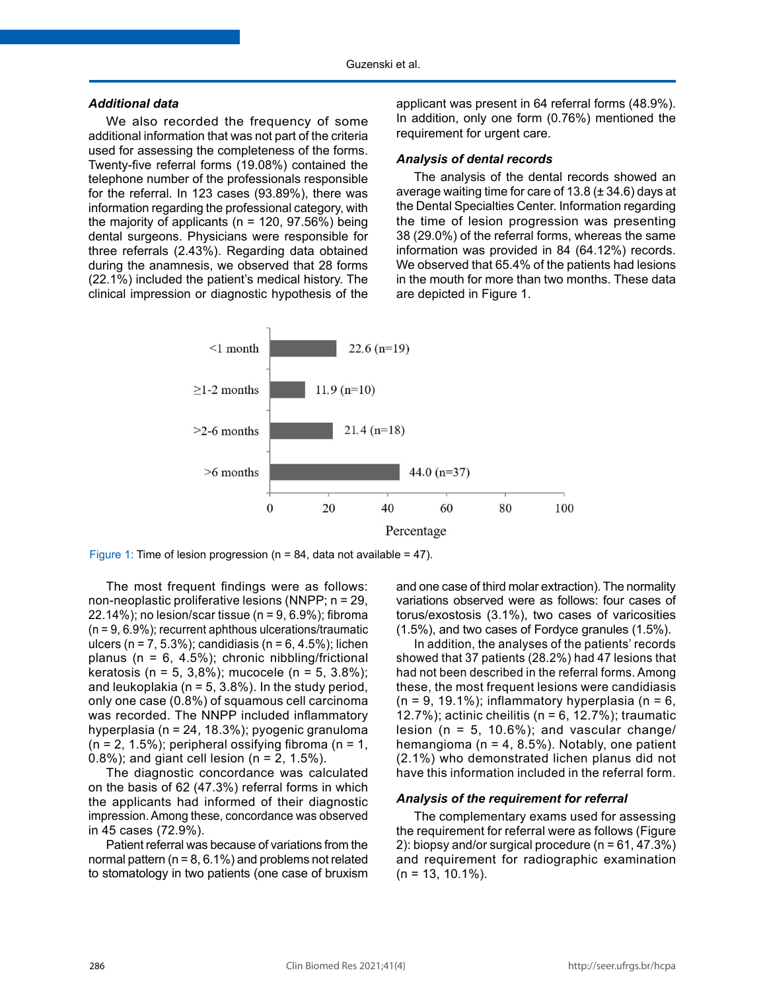# *Additional data*

We also recorded the frequency of some additional information that was not part of the criteria used for assessing the completeness of the forms. Twenty-five referral forms (19.08%) contained the telephone number of the professionals responsible for the referral. In 123 cases (93.89%), there was information regarding the professional category, with the majority of applicants ( $n = 120$ , 97.56%) being dental surgeons. Physicians were responsible for three referrals (2.43%). Regarding data obtained during the anamnesis, we observed that 28 forms (22.1%) included the patient's medical history. The clinical impression or diagnostic hypothesis of the

applicant was present in 64 referral forms (48.9%). In addition, only one form (0.76%) mentioned the requirement for urgent care.

#### *Analysis of dental records*

The analysis of the dental records showed an average waiting time for care of 13.8 (± 34.6) days at the Dental Specialties Center. Information regarding the time of lesion progression was presenting 38 (29.0%) of the referral forms, whereas the same information was provided in 84 (64.12%) records. We observed that 65.4% of the patients had lesions in the mouth for more than two months. These data are depicted in Figure 1.



Figure 1: Time of lesion progression ( $n = 84$ , data not available = 47).

The most frequent findings were as follows: non-neoplastic proliferative lesions (NNPP; n = 29, 22.14%); no lesion/scar tissue ( $n = 9, 6.9\%$ ); fibroma  $(n = 9, 6.9\%)$ ; recurrent aphthous ulcerations/traumatic ulcers (n = 7, 5.3%); candidiasis (n = 6, 4.5%); lichen planus ( $n = 6$ , 4.5%); chronic nibbling/frictional keratosis (n = 5, 3,8%); mucocele (n = 5, 3.8%); and leukoplakia ( $n = 5, 3.8\%$ ). In the study period, only one case (0.8%) of squamous cell carcinoma was recorded. The NNPP included inflammatory hyperplasia (n = 24, 18.3%); pyogenic granuloma  $(n = 2, 1.5\%)$ ; peripheral ossifying fibroma  $(n = 1, 1)$ 0.8%); and giant cell lesion ( $n = 2, 1.5\%$ ).

The diagnostic concordance was calculated on the basis of 62 (47.3%) referral forms in which the applicants had informed of their diagnostic impression. Among these, concordance was observed in 45 cases (72.9%).

Patient referral was because of variations from the normal pattern ( $n = 8, 6, 1\%$ ) and problems not related to stomatology in two patients (one case of bruxism

and one case of third molar extraction). The normality variations observed were as follows: four cases of torus/exostosis (3.1%), two cases of varicosities (1.5%), and two cases of Fordyce granules (1.5%).

In addition, the analyses of the patients' records showed that 37 patients (28.2%) had 47 lesions that had not been described in the referral forms. Among these, the most frequent lesions were candidiasis  $(n = 9, 19.1\%)$ ; inflammatory hyperplasia  $(n = 6, 19.1\%)$ 12.7%); actinic cheilitis ( $n = 6$ , 12.7%); traumatic lesion ( $n = 5$ , 10.6%); and vascular change/ hemangioma (n = 4, 8.5%). Notably, one patient (2.1%) who demonstrated lichen planus did not have this information included in the referral form.

#### *Analysis of the requirement for referral*

The complementary exams used for assessing the requirement for referral were as follows (Figure 2): biopsy and/or surgical procedure (n = 61, 47.3%) and requirement for radiographic examination  $(n = 13, 10.1\%)$ .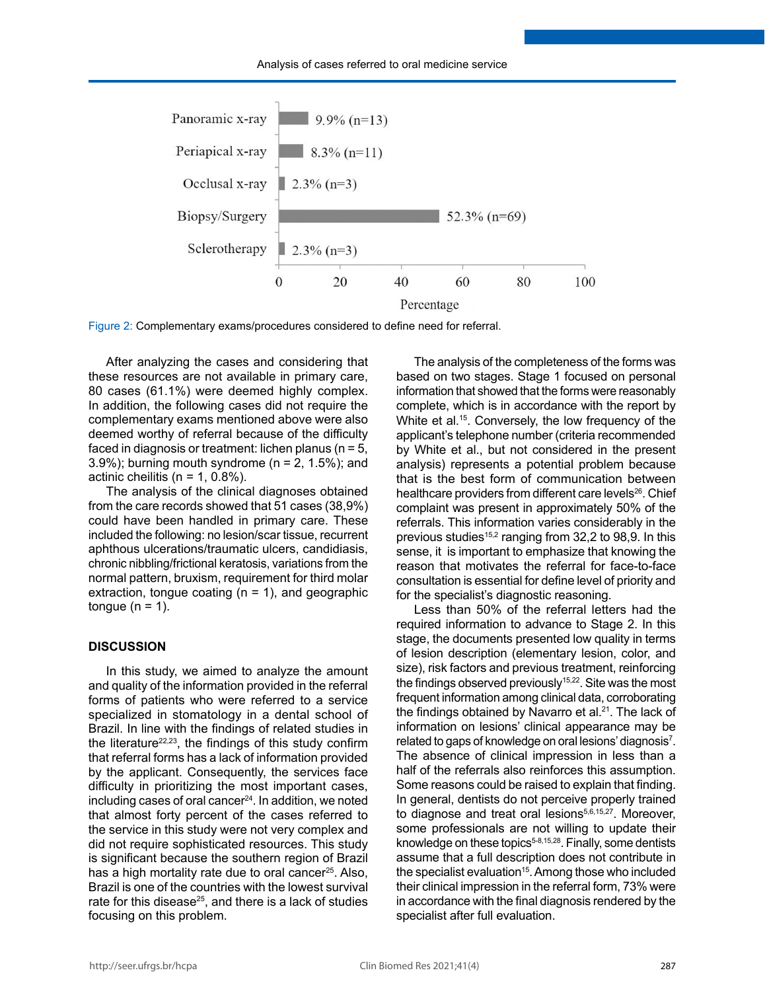

Figure 2: Complementary exams/procedures considered to define need for referral.

After analyzing the cases and considering that these resources are not available in primary care, 80 cases (61.1%) were deemed highly complex. In addition, the following cases did not require the complementary exams mentioned above were also deemed worthy of referral because of the difficulty faced in diagnosis or treatment: lichen planus ( $n = 5$ ,  $3.9\%$ ); burning mouth syndrome (n = 2, 1.5%); and actinic cheilitis ( $n = 1, 0.8\%$ ).

The analysis of the clinical diagnoses obtained from the care records showed that 51 cases (38,9%) could have been handled in primary care. These included the following: no lesion/scar tissue, recurrent aphthous ulcerations/traumatic ulcers, candidiasis, chronic nibbling/frictional keratosis, variations from the normal pattern, bruxism, requirement for third molar extraction, tongue coating  $(n = 1)$ , and geographic tongue  $(n = 1)$ .

## **DISCUSSION**

In this study, we aimed to analyze the amount and quality of the information provided in the referral forms of patients who were referred to a service specialized in stomatology in a dental school of Brazil. In line with the findings of related studies in the literature $22,23$ , the findings of this study confirm that referral forms has a lack of information provided by the applicant. Consequently, the services face difficulty in prioritizing the most important cases, including cases of oral cancer<sup>24</sup>. In addition, we noted that almost forty percent of the cases referred to the service in this study were not very complex and did not require sophisticated resources. This study is significant because the southern region of Brazil has a high mortality rate due to oral cancer<sup>25</sup>. Also, Brazil is one of the countries with the lowest survival rate for this disease<sup>25</sup>, and there is a lack of studies focusing on this problem.

The analysis of the completeness of the forms was based on two stages. Stage 1 focused on personal information that showed that the forms were reasonably complete, which is in accordance with the report by White et al.<sup>15</sup>. Conversely, the low frequency of the applicant's telephone number (criteria recommended by White et al., but not considered in the present analysis) represents a potential problem because that is the best form of communication between healthcare providers from different care levels<sup>26</sup>. Chief complaint was present in approximately 50% of the referrals. This information varies considerably in the previous studies<sup>15,2</sup> ranging from 32,2 to 98,9. In this sense, it is important to emphasize that knowing the reason that motivates the referral for face-to-face consultation is essential for define level of priority and for the specialist's diagnostic reasoning.

Less than 50% of the referral letters had the required information to advance to Stage 2. In this stage, the documents presented low quality in terms of lesion description (elementary lesion, color, and size), risk factors and previous treatment, reinforcing the findings observed previously<sup>15,22</sup>. Site was the most frequent information among clinical data, corroborating the findings obtained by Navarro et al. $21$ . The lack of information on lesions' clinical appearance may be related to gaps of knowledge on oral lesions' diagnosis7 . The absence of clinical impression in less than a half of the referrals also reinforces this assumption. Some reasons could be raised to explain that finding. In general, dentists do not perceive properly trained to diagnose and treat oral lesions<sup>5,6,15,27</sup>. Moreover, some professionals are not willing to update their knowledge on these topics<sup>5-8,15,28</sup>. Finally, some dentists assume that a full description does not contribute in the specialist evaluation<sup>15</sup>. Among those who included their clinical impression in the referral form, 73% were in accordance with the final diagnosis rendered by the specialist after full evaluation.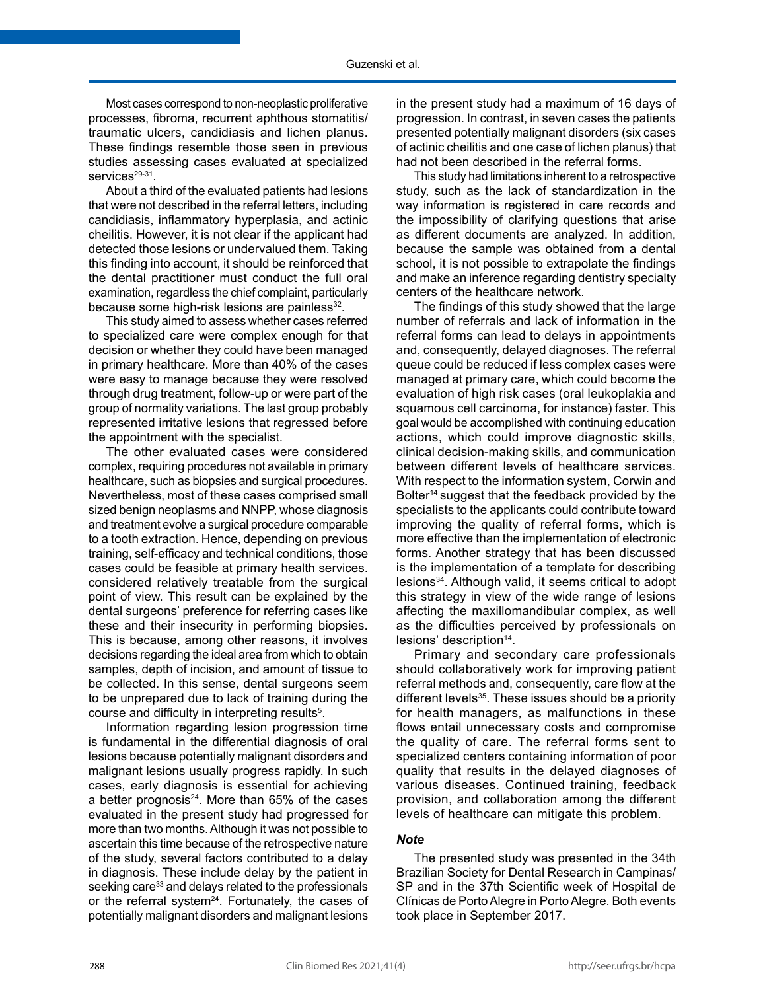Most cases correspond to non-neoplastic proliferative processes, fibroma, recurrent aphthous stomatitis/ traumatic ulcers, candidiasis and lichen planus. These findings resemble those seen in previous studies assessing cases evaluated at specialized services<sup>29-31</sup>.

About a third of the evaluated patients had lesions that were not described in the referral letters, including candidiasis, inflammatory hyperplasia, and actinic cheilitis. However, it is not clear if the applicant had detected those lesions or undervalued them. Taking this finding into account, it should be reinforced that the dental practitioner must conduct the full oral examination, regardless the chief complaint, particularly because some high-risk lesions are painless<sup>32</sup>.

This study aimed to assess whether cases referred to specialized care were complex enough for that decision or whether they could have been managed in primary healthcare. More than 40% of the cases were easy to manage because they were resolved through drug treatment, follow-up or were part of the group of normality variations. The last group probably represented irritative lesions that regressed before the appointment with the specialist.

The other evaluated cases were considered complex, requiring procedures not available in primary healthcare, such as biopsies and surgical procedures. Nevertheless, most of these cases comprised small sized benign neoplasms and NNPP, whose diagnosis and treatment evolve a surgical procedure comparable to a tooth extraction. Hence, depending on previous training, self-efficacy and technical conditions, those cases could be feasible at primary health services. considered relatively treatable from the surgical point of view. This result can be explained by the dental surgeons' preference for referring cases like these and their insecurity in performing biopsies. This is because, among other reasons, it involves decisions regarding the ideal area from which to obtain samples, depth of incision, and amount of tissue to be collected. In this sense, dental surgeons seem to be unprepared due to lack of training during the course and difficulty in interpreting results<sup>5</sup>.

Information regarding lesion progression time is fundamental in the differential diagnosis of oral lesions because potentially malignant disorders and malignant lesions usually progress rapidly. In such cases, early diagnosis is essential for achieving a better prognosis $24$ . More than 65% of the cases evaluated in the present study had progressed for more than two months. Although it was not possible to ascertain this time because of the retrospective nature of the study, several factors contributed to a delay in diagnosis. These include delay by the patient in seeking care<sup>33</sup> and delays related to the professionals or the referral system<sup>24</sup>. Fortunately, the cases of potentially malignant disorders and malignant lesions

in the present study had a maximum of 16 days of progression. In contrast, in seven cases the patients presented potentially malignant disorders (six cases of actinic cheilitis and one case of lichen planus) that had not been described in the referral forms.

This study had limitations inherent to a retrospective study, such as the lack of standardization in the way information is registered in care records and the impossibility of clarifying questions that arise as different documents are analyzed. In addition, because the sample was obtained from a dental school, it is not possible to extrapolate the findings and make an inference regarding dentistry specialty centers of the healthcare network.

The findings of this study showed that the large number of referrals and lack of information in the referral forms can lead to delays in appointments and, consequently, delayed diagnoses. The referral queue could be reduced if less complex cases were managed at primary care, which could become the evaluation of high risk cases (oral leukoplakia and squamous cell carcinoma, for instance) faster. This goal would be accomplished with continuing education actions, which could improve diagnostic skills, clinical decision-making skills, and communication between different levels of healthcare services. With respect to the information system, Corwin and Bolter<sup>14</sup> suggest that the feedback provided by the specialists to the applicants could contribute toward improving the quality of referral forms, which is more effective than the implementation of electronic forms. Another strategy that has been discussed is the implementation of a template for describing lesions34. Although valid, it seems critical to adopt this strategy in view of the wide range of lesions affecting the maxillomandibular complex, as well as the difficulties perceived by professionals on lesions' description<sup>14</sup>.

Primary and secondary care professionals should collaboratively work for improving patient referral methods and, consequently, care flow at the different levels<sup>35</sup>. These issues should be a priority for health managers, as malfunctions in these flows entail unnecessary costs and compromise the quality of care. The referral forms sent to specialized centers containing information of poor quality that results in the delayed diagnoses of various diseases. Continued training, feedback provision, and collaboration among the different levels of healthcare can mitigate this problem.

### *Note*

The presented study was presented in the 34th Brazilian Society for Dental Research in Campinas/ SP and in the 37th Scientific week of Hospital de Clínicas de Porto Alegre in Porto Alegre. Both events took place in September 2017.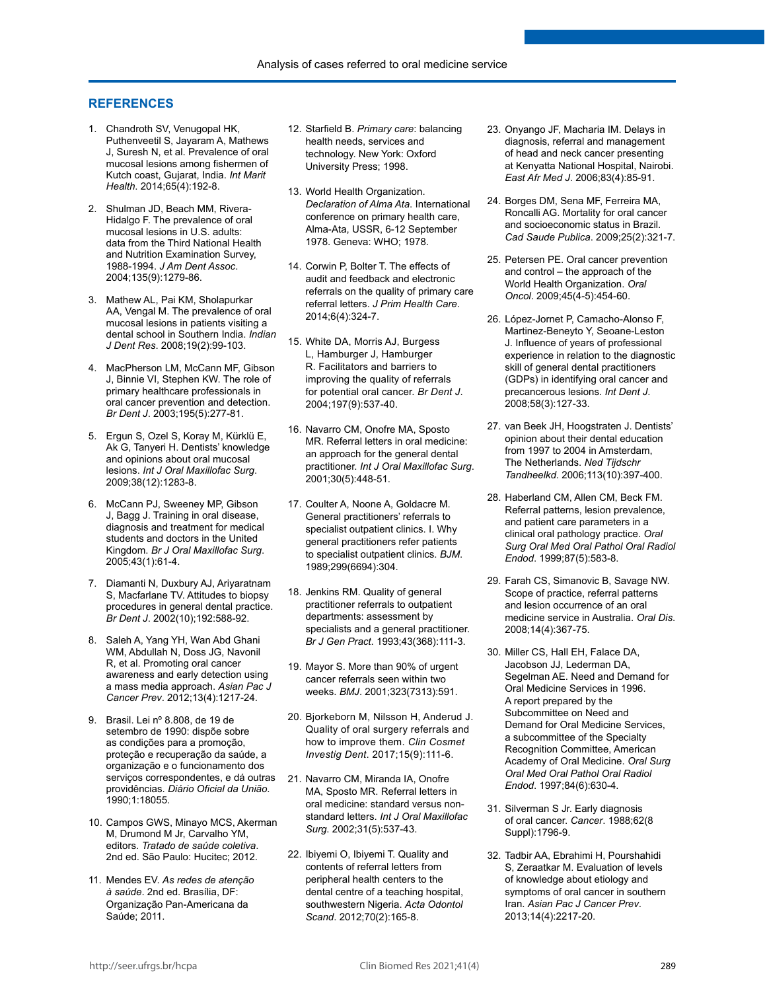#### **REFERENCES**

- 1. Chandroth SV, Venugopal HK, Puthenveetil S, Jayaram A, Mathews J, Suresh N, et al. Prevalence of oral mucosal lesions among fishermen of Kutch coast, Gujarat, India. *Int Marit Health*. 2014;65(4):192-8.
- 2. Shulman JD, Beach MM, Rivera-Hidalgo F. The prevalence of oral mucosal lesions in U.S. adults: data from the Third National Health and Nutrition Examination Survey, 1988-1994. *J Am Dent Assoc*. 2004;135(9):1279-86.
- 3. Mathew AL, Pai KM, Sholapurkar AA, Vengal M. The prevalence of oral mucosal lesions in patients visiting a dental school in Southern India. *Indian J Dent Res*. 2008;19(2):99-103.
- 4. MacPherson LM, McCann MF, Gibson J, Binnie VI, Stephen KW. The role of primary healthcare professionals in oral cancer prevention and detection. *Br Dent J*. 2003;195(5):277-81.
- 5. Ergun S, Ozel S, Koray M, Kürklü E, Ak G, Tanyeri H. Dentists' knowledge and opinions about oral mucosal lesions. *Int J Oral Maxillofac Surg*. 2009;38(12):1283-8.
- 6. McCann PJ, Sweeney MP, Gibson J, Bagg J. Training in oral disease, diagnosis and treatment for medical students and doctors in the United Kingdom. *Br J Oral Maxillofac Surg*. 2005;43(1):61-4.
- 7. Diamanti N, Duxbury AJ, Ariyaratnam S, Macfarlane TV. Attitudes to biopsy procedures in general dental practice. *Br Dent J*. 2002(10);192:588-92.
- 8. Saleh A, Yang YH, Wan Abd Ghani WM, Abdullah N, Doss JG, Navonil R, et al. Promoting oral cancer awareness and early detection using a mass media approach. *Asian Pac J Cancer Prev*. 2012;13(4):1217-24.
- 9. Brasil. Lei nº 8.808, de 19 de setembro de 1990: dispõe sobre as condições para a promoção, proteção e recuperação da saúde, a organização e o funcionamento dos serviços correspondentes, e dá outras providências. *Diário Oficial da União*. 1990;1:18055.
- 10. Campos GWS, Minayo MCS, Akerman M, Drumond M Jr, Carvalho YM, editors. *Tratado de saúde coletiva*. 2nd ed. São Paulo: Hucitec; 2012.
- 11. Mendes EV. *As redes de atenção à saúde*. 2nd ed. Brasília, DF: Organização Pan-Americana da Saúde; 2011.
- 12. Starfield B. *Primary care*: balancing health needs, services and technology. New York: Oxford University Press; 1998.
- 13. World Health Organization. *Declaration of Alma Ata*. International conference on primary health care, Alma-Ata, USSR, 6-12 September 1978. Geneva: WHO; 1978.
- 14. Corwin P, Bolter T. The effects of audit and feedback and electronic referrals on the quality of primary care referral letters. *J Prim Health Care*. 2014;6(4):324-7.
- 15. White DA, Morris AJ, Burgess L, Hamburger J, Hamburger R. Facilitators and barriers to improving the quality of referrals for potential oral cancer. *Br Dent J*. 2004;197(9):537-40.
- 16. Navarro CM, Onofre MA, Sposto MR. Referral letters in oral medicine: an approach for the general dental practitioner. *Int J Oral Maxillofac Surg*. 2001;30(5):448-51.
- 17. Coulter A, Noone A, Goldacre M. General practitioners' referrals to specialist outpatient clinics. I. Why general practitioners refer patients to specialist outpatient clinics. *BJM*. 1989;299(6694):304.
- 18. Jenkins RM. Quality of general practitioner referrals to outpatient departments: assessment by specialists and a general practitioner. *Br J Gen Pract*. 1993;43(368):111-3.
- 19. Mayor S. More than 90% of urgent cancer referrals seen within two weeks. *BMJ*. 2001;323(7313):591.
- 20. Bjorkeborn M, Nilsson H, Anderud J. Quality of oral surgery referrals and how to improve them. *Clin Cosmet Investig Dent*. 2017;15(9):111-6.
- 21. Navarro CM, Miranda IA, Onofre MA, Sposto MR. Referral letters in oral medicine: standard versus nonstandard letters. *Int J Oral Maxillofac Surg*. 2002;31(5):537-43.
- 22. Ibiyemi O, Ibiyemi T. Quality and contents of referral letters from peripheral health centers to the dental centre of a teaching hospital, southwestern Nigeria. *Acta Odontol Scand*. 2012;70(2):165-8.
- 23. Onyango JF, Macharia IM. Delays in diagnosis, referral and management of head and neck cancer presenting at Kenyatta National Hospital, Nairobi. *East Afr Med J*. 2006;83(4):85-91.
- 24. Borges DM, Sena MF, Ferreira MA, Roncalli AG. Mortality for oral cancer and socioeconomic status in Brazil. *Cad Saude Publica*. 2009;25(2):321-7.
- 25. Petersen PE. Oral cancer prevention and control – the approach of the World Health Organization. *Oral Oncol*. 2009;45(4-5):454-60.
- 26. López-Jornet P, Camacho-Alonso F, Martinez-Beneyto Y, Seoane-Leston J. Influence of years of professional experience in relation to the diagnostic skill of general dental practitioners (GDPs) in identifying oral cancer and precancerous lesions. *Int Dent J*. 2008;58(3):127-33.
- 27. van Beek JH, Hoogstraten J. Dentists' opinion about their dental education from 1997 to 2004 in Amsterdam. The Netherlands. *Ned Tijdschr Tandheelkd*. 2006;113(10):397-400.
- 28. Haberland CM, Allen CM, Beck FM. Referral patterns, lesion prevalence, and patient care parameters in a clinical oral pathology practice. *Oral Surg Oral Med Oral Pathol Oral Radiol Endod*. 1999;87(5):583-8.
- 29. Farah CS, Simanovic B, Savage NW. Scope of practice, referral patterns and lesion occurrence of an oral medicine service in Australia. *Oral Dis*. 2008;14(4):367-75.
- 30. Miller CS, Hall EH, Falace DA, Jacobson JJ, Lederman DA, Segelman AE. Need and Demand for Oral Medicine Services in 1996. A report prepared by the Subcommittee on Need and Demand for Oral Medicine Services, a subcommittee of the Specialty Recognition Committee, American Academy of Oral Medicine. *Oral Surg Oral Med Oral Pathol Oral Radiol Endod*. 1997;84(6):630-4.
- 31. Silverman S Jr. Early diagnosis of oral cancer. *Cancer*. 1988;62(8 Suppl):1796-9.
- 32. Tadbir AA, Ebrahimi H, Pourshahidi S, Zeraatkar M. Evaluation of levels of knowledge about etiology and symptoms of oral cancer in southern Iran. *Asian Pac J Cancer Prev*. 2013;14(4):2217-20.